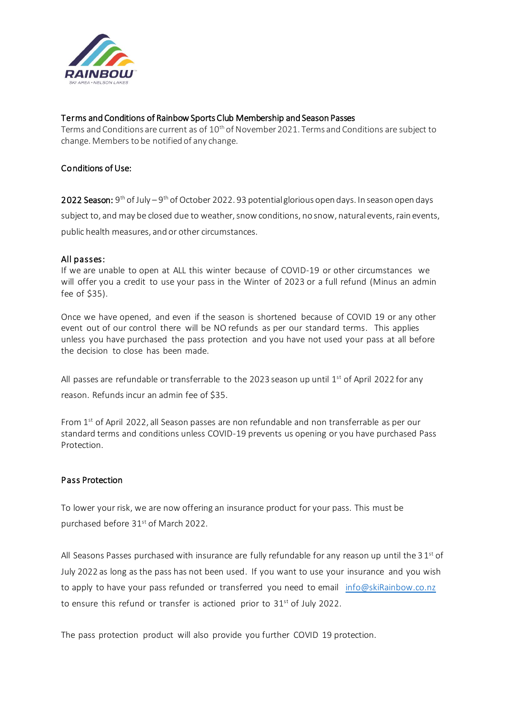

#### Terms and Conditions of Rainbow Sports Club Membership and Season Passes

Terms and Conditions are current as of 10<sup>th</sup> of November 2021. Terms and Conditions are subject to change. Members to be notified of any change.

#### Conditions of Use:

**2022 Season:** 9<sup>th</sup> of July – 9<sup>th</sup> of October 2022. 93 potential glorious open days. In season open days subject to, and may be closed due to weather, snow conditions, no snow, natural events, rain events, public health measures, and or other circumstances.

#### All passes:

If we are unable to open at ALL this winter because of COVID-19 or other circumstances we will offer you a credit to use your pass in the Winter of 2023 or a full refund (Minus an admin fee of \$35).

Once we have opened, and even if the season is shortened because of COVID 19 or any other event out of our control there will be NO refunds as per our standard terms. This applies unless you have purchased the pass protection and you have not used your pass at all before the decision to close has been made.

All passes are refundable or transferrable to the 2023 season up until  $1^\text{st}$  of April 2022 for any reason. Refunds incur an admin fee of \$35.

From 1<sup>st</sup> of April 2022, all Season passes are non refundable and non transferrable as per our standard terms and conditions unless COVID-19 prevents us opening or you have purchased Pass Protection.

#### Pass Protection

To lower your risk, we are now offering an insurance product for your pass. This must be purchased before 31<sup>st</sup> of March 2022.

All Seasons Passes purchased with insurance are fully refundable for any reason up until the 3  $1^{\text{st}}$  of July 2022 as long as the pass has not been used. If you want to use your insurance and you wish to apply to have your pass refunded or transferred you need to email info@skiRainbow.co.nz to ensure this refund or transfer is actioned prior to 31<sup>st</sup> of July 2022.

The pass protection product will also provide you further COVID 19 protection.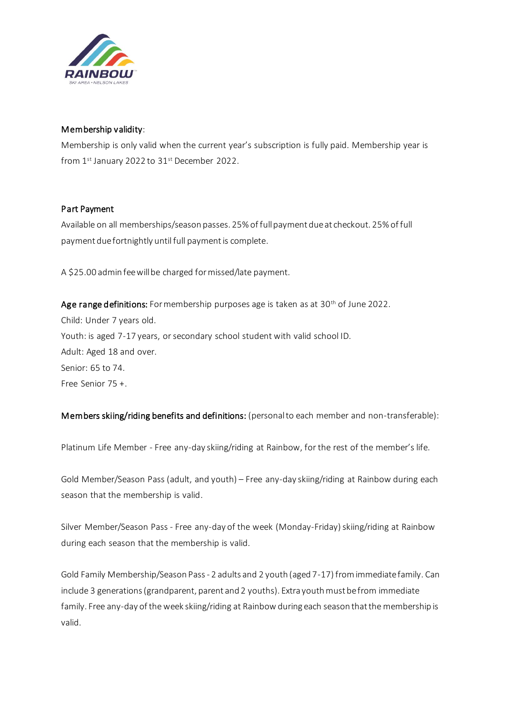

## Membership validity:

Membership is only valid when the current year's subscription is fully paid. Membership year is from  $1<sup>st</sup>$  January 2022 to  $31<sup>st</sup>$  December 2022.

## Part Payment

Available on all memberships/season passes. 25% of full payment due at checkout. 25% of full payment due fortnightly until full payment is complete.

A \$25.00 admin fee will be charged for missed/late payment.

Age range definitions: For membership purposes age is taken as at  $30<sup>th</sup>$  of June 2022. Child: Under 7 years old. Youth: is aged 7-17 years, or secondary school student with valid school ID. Adult: Aged 18 and over. Senior: 65 to 74. Free Senior 75 +.

Members skiing/riding benefits and definitions: (personal to each member and non-transferable):

Platinum Life Member - Free any-day skiing/riding at Rainbow, for the rest of the member's life.

Gold Member/Season Pass (adult, and youth) – Free any-day skiing/riding at Rainbow during each season that the membership is valid.

Silver Member/Season Pass - Free any-day of the week (Monday-Friday) skiing/riding at Rainbow during each season that the membership is valid.

Gold Family Membership/Season Pass - 2 adults and 2 youth (aged 7-17) from immediate family. Can include 3 generations (grandparent, parent and 2 youths). Extra youth must be from immediate family. Free any-day of the week skiing/riding at Rainbow during each season that the membership is valid.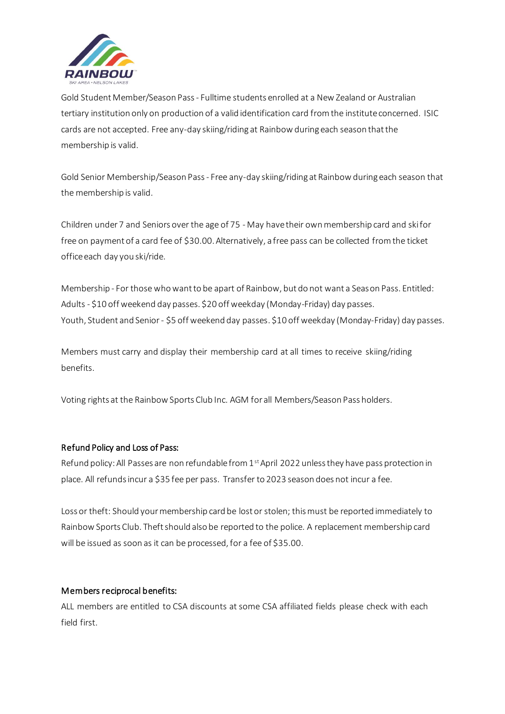

Gold Student Member/Season Pass- Fulltime students enrolled at a New Zealand or Australian tertiary institution only on production of a valid identification card from the institute concerned. ISIC cards are not accepted. Free any-day skiing/riding at Rainbow during each season that the membership is valid.

Gold Senior Membership/Season Pass- Free any-day skiing/riding at Rainbow during each season that the membership is valid.

Children under 7 and Seniors over the age of 75 - May have their own membership card and ski for free on payment of a card fee of \$30.00. Alternatively, a free pass can be collected from the ticket office each day you ski/ride.

Membership - For those who want to be apart of Rainbow, but do not want a Season Pass. Entitled: Adults - \$10 off weekend day passes. \$20 off weekday (Monday-Friday) day passes. Youth, Student and Senior - \$5 off weekend day passes. \$10 off weekday (Monday-Friday) day passes.

Members must carry and display their membership card at all times to receive skiing/riding benefits.

Voting rights at the Rainbow Sports Club Inc. AGM for all Members/Season Pass holders.

## Refund Policy and Loss of Pass:

Refund policy: All Passes are non refundable from 1<sup>st</sup> April 2022 unless they have pass protection in place. All refunds incur a \$35 fee per pass. Transfer to 2023 season does not incur a fee.

Loss or theft: Should your membership card be lost or stolen; this must be reported immediately to Rainbow Sports Club. Theft should also be reported to the police. A replacement membership card will be issued as soon as it can be processed, for a fee of \$35.00.

## Members reciprocal benefits:

ALL members are entitled to CSA discounts at some CSA affiliated fields please check with each field first.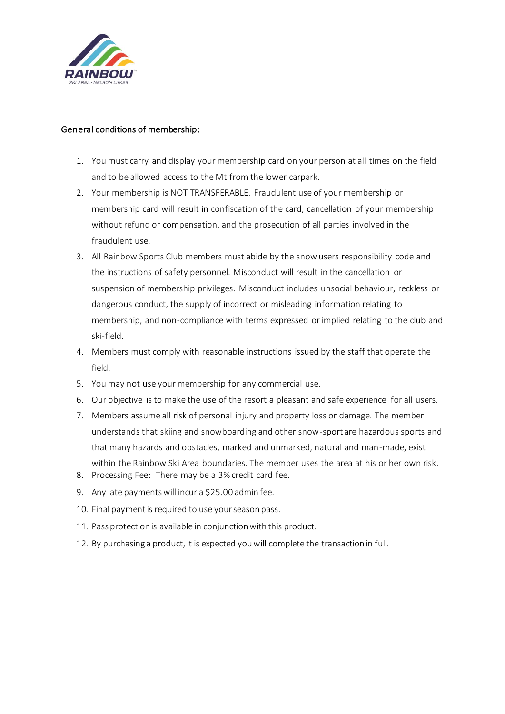

## General conditions of membership:

- 1. You must carry and display your membership card on your person at all times on the field and to be allowed access to the Mt from the lower carpark.
- 2. Your membership is NOT TRANSFERABLE. Fraudulent use of your membership or membership card will result in confiscation of the card, cancellation of your membership without refund or compensation, and the prosecution of all parties involved in the fraudulent use.
- 3. All Rainbow Sports Club members must abide by the snow users responsibility code and the instructions of safety personnel. Misconduct will result in the cancellation or suspension of membership privileges. Misconduct includes unsocial behaviour, reckless or dangerous conduct, the supply of incorrect or misleading information relating to membership, and non-compliance with terms expressed or implied relating to the club and ski-field.
- 4. Members must comply with reasonable instructions issued by the staff that operate the field.
- 5. You may not use your membership for any commercial use.
- 6. Our objective is to make the use of the resort a pleasant and safe experience for all users.
- 7. Members assume all risk of personal injury and property loss or damage. The member understands that skiing and snowboarding and other snow-sport are hazardous sports and that many hazards and obstacles, marked and unmarked, natural and man-made, exist within the Rainbow Ski Area boundaries. The member uses the area at his or her own risk. 8. Processing Fee: There may be a 3% credit card fee.
- 9. Any late payments will incur a \$25.00 admin fee.
- 10. Final payment is required to use your season pass.
- 11. Pass protection is available in conjunction with this product.
- 12. By purchasing a product, it is expected you will complete the transaction in full.